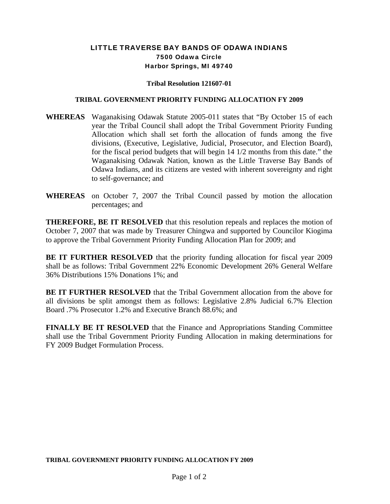## LITTLE TRAVERSE BAY BANDS OF ODAWA INDIANS 7500 Odawa Circle Harbor Springs, MI 49740

## **Tribal Resolution 121607-01**

## **TRIBAL GOVERNMENT PRIORITY FUNDING ALLOCATION FY 2009**

- **WHEREAS** Waganakising Odawak Statute 2005-011 states that "By October 15 of each year the Tribal Council shall adopt the Tribal Government Priority Funding Allocation which shall set forth the allocation of funds among the five divisions, (Executive, Legislative, Judicial, Prosecutor, and Election Board), for the fiscal period budgets that will begin 14 1/2 months from this date." the Waganakising Odawak Nation, known as the Little Traverse Bay Bands of Odawa Indians, and its citizens are vested with inherent sovereignty and right to self-governance; and
- **WHEREAS** on October 7, 2007 the Tribal Council passed by motion the allocation percentages; and

**THEREFORE, BE IT RESOLVED** that this resolution repeals and replaces the motion of October 7, 2007 that was made by Treasurer Chingwa and supported by Councilor Kiogima to approve the Tribal Government Priority Funding Allocation Plan for 2009; and

**BE IT FURTHER RESOLVED** that the priority funding allocation for fiscal year 2009 shall be as follows: Tribal Government 22% Economic Development 26% General Welfare 36% Distributions 15% Donations 1%; and

**BE IT FURTHER RESOLVED** that the Tribal Government allocation from the above for all divisions be split amongst them as follows: Legislative 2.8% Judicial 6.7% Election Board .7% Prosecutor 1.2% and Executive Branch 88.6%; and

**FINALLY BE IT RESOLVED** that the Finance and Appropriations Standing Committee shall use the Tribal Government Priority Funding Allocation in making determinations for FY 2009 Budget Formulation Process.